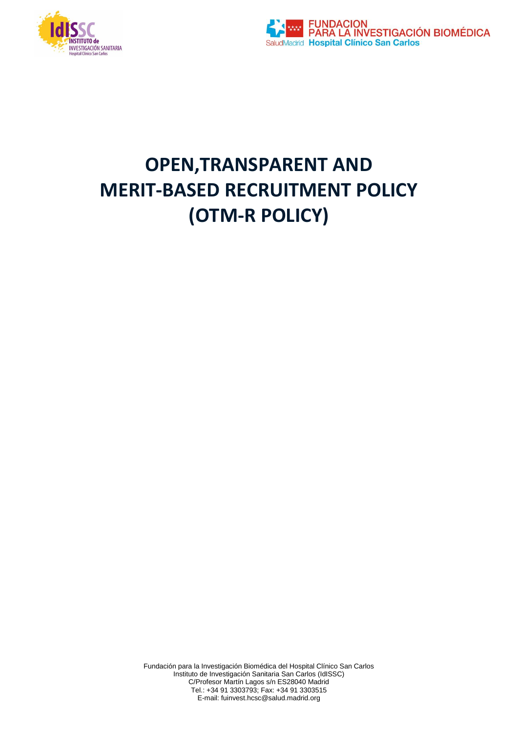



# **OPEN,TRANSPARENT AND MERIT-BASED RECRUITMENT POLICY (OTM-R POLICY)**

Fundación para la Investigación Biomédica del Hospital Clínico San Carlos Instituto de Investigación Sanitaria San Carlos (IdISSC) C/Profesor Martín Lagos s/n ES28040 Madrid Tel.: +34 91 3303793; Fax: +34 91 3303515 E-mail: fuinvest.hcsc@salud.madrid.org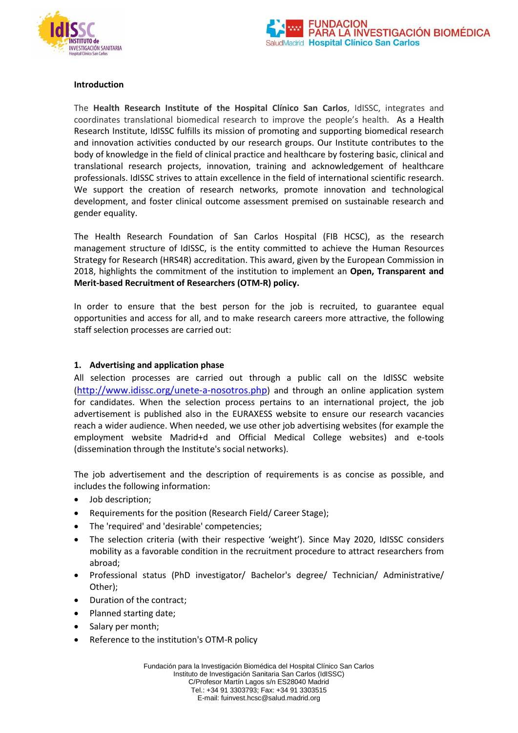



#### **Introduction**

The **Health Research Institute of the Hospital Clínico San Carlos**, IdISSC, integrates and coordinates translational biomedical research to improve the people's health. As a Health Research Institute, IdISSC fulfills its mission of promoting and supporting biomedical research and innovation activities conducted by our research groups. Our Institute contributes to the body of knowledge in the field of clinical practice and healthcare by fostering basic, clinical and translational research projects, innovation, training and acknowledgement of healthcare professionals. IdISSC strives to attain excellence in the field of international scientific research. We support the creation of research networks, promote innovation and technological development, and foster clinical outcome assessment premised on sustainable research and gender equality.

The Health Research Foundation of San Carlos Hospital (FIB HCSC), as the research management structure of IdISSC, is the entity committed to achieve the Human Resources Strategy for Research (HRS4R) accreditation. This award, given by the European Commission in 2018, highlights the commitment of the institution to implement an **Open, Transparent and Merit-based Recruitment of Researchers (OTM-R) policy.** 

In order to ensure that the best person for the job is recruited, to guarantee equal opportunities and access for all, and to make research careers more attractive, the following staff selection processes are carried out:

#### **1. Advertising and application phase**

All selection processes are carried out through a public call on the IdISSC website (<http://www.idissc.org/unete-a-nosotros.php>) and through an online application system for candidates. When the selection process pertains to an international project, the job advertisement is published also in the EURAXESS website to ensure our research vacancies reach a wider audience. When needed, we use other job advertising websites (for example the employment website Madrid+d and Official Medical College websites) and e-tools (dissemination through the Institute's social networks).

The job advertisement and the description of requirements is as concise as possible, and includes the following information:

- Job description;
- Requirements for the position (Research Field/ Career Stage);
- The 'required' and 'desirable' competencies;
- The selection criteria (with their respective 'weight'). Since May 2020, IdISSC considers mobility as a favorable condition in the recruitment procedure to attract researchers from abroad;
- Professional status (PhD investigator/ Bachelor's degree/ Technician/ Administrative/ Other);
- Duration of the contract;
- Planned starting date;
- Salary per month;
- Reference to the institution's OTM-R policy